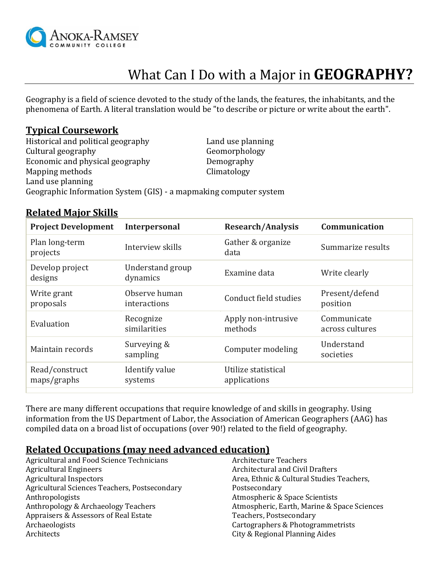

# What Can I Do with a Major in **GEOGRAPHY?**

Geography is a field of science devoted to the study of the lands, the features, the inhabitants, and the phenomena of Earth. A literal translation would be "to describe or picture or write about the earth".

### **Typical Coursework**

Historical and political geography Land use planning Cultural geography Geomorphology Economic and physical geography **Demography** Mapping methods Climatology Land use planning Geographic Information System (GIS) - a mapmaking computer system

## **Related Major Skills**

| <b>Project Development</b>    | Interpersonal                 | <b>Research/Analysis</b>            | Communication                  |
|-------------------------------|-------------------------------|-------------------------------------|--------------------------------|
| Plan long-term<br>projects    | Interview skills              | Gather & organize<br>data           | Summarize results              |
| Develop project<br>designs    | Understand group<br>dynamics  | Examine data                        | Write clearly                  |
| Write grant<br>proposals      | Observe human<br>interactions | Conduct field studies               | Present/defend<br>position     |
| Evaluation                    | Recognize<br>similarities     | Apply non-intrusive<br>methods      | Communicate<br>across cultures |
| Maintain records              | Surveying &<br>sampling       | Computer modeling                   | Understand<br>societies        |
| Read/construct<br>maps/graphs | Identify value<br>systems     | Utilize statistical<br>applications |                                |

There are many different occupations that require knowledge of and skills in geography. Using information from the US Department of Labor, the Association of American Geographers (AAG) has compiled data on a broad list of occupations (over 90!) related to the field of geography.

## **Related Occupations (may need advanced education)**

Agricultural and Food Science Technicians Agricultural Engineers Agricultural Inspectors Agricultural Sciences Teachers, Postsecondary Anthropologists Anthropology & Archaeology Teachers Appraisers & Assessors of Real Estate Archaeologists Architects Architecture Teachers Architectural and Civil Drafters Area, Ethnic & Cultural Studies Teachers, Postsecondary Atmospheric & Space Scientists Atmospheric, Earth, Marine & Space Sciences Teachers, Postsecondary Cartographers & Photogrammetrists City & Regional Planning Aides